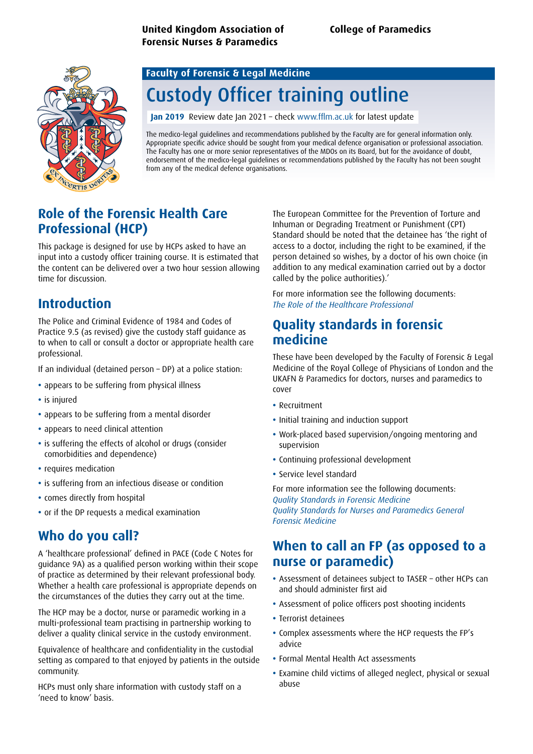

# Custody Officer training outline

**Jan 2019** Review date Jan 2021 – check www.fflm.ac.uk for latest update

The medico-legal guidelines and recommendations published by the Faculty are for general information only. Appropriate specific advice should be sought from your medical defence organisation or professional association. The Faculty has one or more senior representatives of the MDOs on its Board, but for the avoidance of doubt, endorsement of the medico-legal guidelines or recommendations published by the Faculty has not been sought from any of the medical defence organisations.

# **Role of the Forensic Health Care Professional (HCP)**

This package is designed for use by HCPs asked to have an input into a custody officer training course. It is estimated that the content can be delivered over a two hour session allowing time for discussion.

# **Introduction**

The Police and Criminal Evidence of 1984 and Codes of Practice 9.5 (as revised) give the custody staff guidance as to when to call or consult a doctor or appropriate health care professional.

If an individual (detained person – DP) at a police station:

- **•** appears to be suffering from physical illness
- **•** is injured
- **•** appears to be suffering from a mental disorder
- **•** appears to need clinical attention
- **•** is suffering the effects of alcohol or drugs (consider comorbidities and dependence)
- **•** requires medication
- **•** is suffering from an infectious disease or condition
- **•** comes directly from hospital
- **•** or if the DP requests a medical examination

# **Who do you call?**

A 'healthcare professional' defined in PACE (Code C Notes for guidance 9A) as a qualified person working within their scope of practice as determined by their relevant professional body. Whether a health care professional is appropriate depends on the circumstances of the duties they carry out at the time.

The HCP may be a doctor, nurse or paramedic working in a multi-professional team practising in partnership working to deliver a quality clinical service in the custody environment.

Equivalence of healthcare and confidentiality in the custodial setting as compared to that enjoyed by patients in the outside community.

HCPs must only share information with custody staff on a 'need to know' basis.

The European Committee for the Prevention of Torture and Inhuman or Degrading Treatment or Punishment (CPT) Standard should be noted that the detainee has 'the right of access to a doctor, including the right to be examined, if the person detained so wishes, by a doctor of his own choice (in addition to any medical examination carried out by a doctor called by the police authorities).'

For more information see the following documents: *[The Role of the Healthcare Professional](https://fflm.ac.uk/publications/the-role-of-the-healthcare-professional/)*

# **Quality standards in forensic medicine**

These have been developed by the Faculty of Forensic & Legal Medicine of the Royal College of Physicians of London and the UKAFN & Paramedics for doctors, nurses and paramedics to cover

- **•** Recruitment
- **•** Initial training and induction support
- **•** Work-placed based supervision/ongoing mentoring and supervision
- **•** Continuing professional development
- **•** Service level standard

For more information see the following documents: *[Quality Standards in Forensic Medicine](https://fflm.ac.uk/publications/fflm-quality-standards-in-forensic-medicine/) [Quality Standards for Nurses and Paramedics General](https://fflm.ac.uk/publications/fflm-quality-standards-for-nurses-and-paramedics-general-forensic-medicine-gfm/)  [Forensic Medicine](https://fflm.ac.uk/publications/fflm-quality-standards-for-nurses-and-paramedics-general-forensic-medicine-gfm/)*

### **When to call an FP (as opposed to a nurse or paramedic)**

- **•** Assessment of detainees subject to TASER other HCPs can and should administer first aid
- **•** Assessment of police officers post shooting incidents
- **•** Terrorist detainees
- **•** Complex assessments where the HCP requests the FP's advice
- **•** Formal Mental Health Act assessments
- **•** Examine child victims of alleged neglect, physical or sexual abuse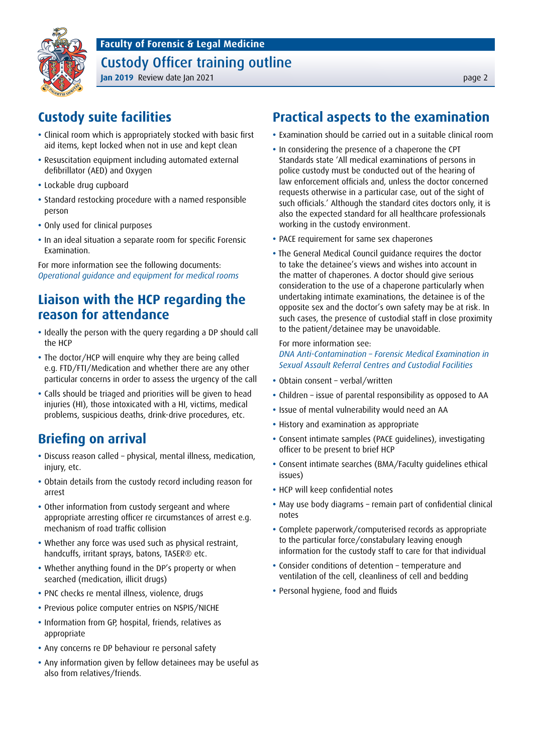Custody Officer training outline



#### **Jan 2019** Review date Jan 2021 **page 2 Jan 2021 page 2 page 2 page 2 page 2**

# **Custody suite facilities**

- **•** Clinical room which is appropriately stocked with basic first aid items, kept locked when not in use and kept clean
- **•** Resuscitation equipment including automated external defibrillator (AED) and Oxygen
- **•** Lockable drug cupboard
- **•** Standard restocking procedure with a named responsible person
- **•** Only used for clinical purposes
- **•** In an ideal situation a separate room for specific Forensic Examination.

For more information see the following documents: *[Operational guidance and equipment for medical rooms](https://fflm.ac.uk/publications/recommendations-operational-procedures-and-equipment-for-medical-rooms/)*

# **Liaison with the HCP regarding the reason for attendance**

- **•** Ideally the person with the query regarding a DP should call the HCP
- **•** The doctor/HCP will enquire why they are being called e.g. FTD/FTI/Medication and whether there are any other particular concerns in order to assess the urgency of the call
- **•** Calls should be triaged and priorities will be given to head injuries (HI), those intoxicated with a HI, victims, medical problems, suspicious deaths, drink-drive procedures, etc.

# **Briefing on arrival**

- **•** Discuss reason called physical, mental illness, medication, injury, etc.
- **•** Obtain details from the custody record including reason for arrest
- **•** Other information from custody sergeant and where appropriate arresting officer re circumstances of arrest e.g. mechanism of road traffic collision
- **•** Whether any force was used such as physical restraint, handcuffs, irritant sprays, batons, TASER® etc.
- **•** Whether anything found in the DP's property or when searched (medication, illicit drugs)
- **•** PNC checks re mental illness, violence, drugs
- **•** Previous police computer entries on NSPIS/NICHE
- **•** Information from GP, hospital, friends, relatives as appropriate
- **•** Any concerns re DP behaviour re personal safety
- **•** Any information given by fellow detainees may be useful as also from relatives/friends.

# **Practical aspects to the examination**

- **•** Examination should be carried out in a suitable clinical room
- **•** In considering the presence of a chaperone the CPT Standards state 'All medical examinations of persons in police custody must be conducted out of the hearing of law enforcement officials and, unless the doctor concerned requests otherwise in a particular case, out of the sight of such officials.' Although the standard cites doctors only, it is also the expected standard for all healthcare professionals working in the custody environment.
- **•** PACE requirement for same sex chaperones
- **•** The General Medical Council guidance requires the doctor to take the detainee's views and wishes into account in the matter of chaperones. A doctor should give serious consideration to the use of a chaperone particularly when undertaking intimate examinations, the detainee is of the opposite sex and the doctor's own safety may be at risk. In such cases, the presence of custodial staff in close proximity to the patient/detainee may be unavoidable.

For more information see: *[DNA Anti-Contamination – Forensic Medical Examination in](https://assets.publishing.service.gov.uk/government/uploads/system/uploads/attachment_data/file/540116/207_FSR_anti-_contam_SARC__Custody_Issue1.pdf)  [Sexual Assault Referral Centres and Custodial Facilities](https://assets.publishing.service.gov.uk/government/uploads/system/uploads/attachment_data/file/540116/207_FSR_anti-_contam_SARC__Custody_Issue1.pdf)*

- **•** Obtain consent verbal/written
- **•** Children issue of parental responsibility as opposed to AA
- **•** Issue of mental vulnerability would need an AA
- **•** History and examination as appropriate
- **•** Consent intimate samples (PACE guidelines), investigating officer to be present to brief HCP
- **•** Consent intimate searches (BMA/Faculty guidelines ethical issues)
- **•** HCP will keep confidential notes
- **•** May use body diagrams remain part of confidential clinical notes
- **•** Complete paperwork/computerised records as appropriate to the particular force/constabulary leaving enough information for the custody staff to care for that individual
- **•** Consider conditions of detention temperature and ventilation of the cell, cleanliness of cell and bedding
- **•** Personal hygiene, food and fluids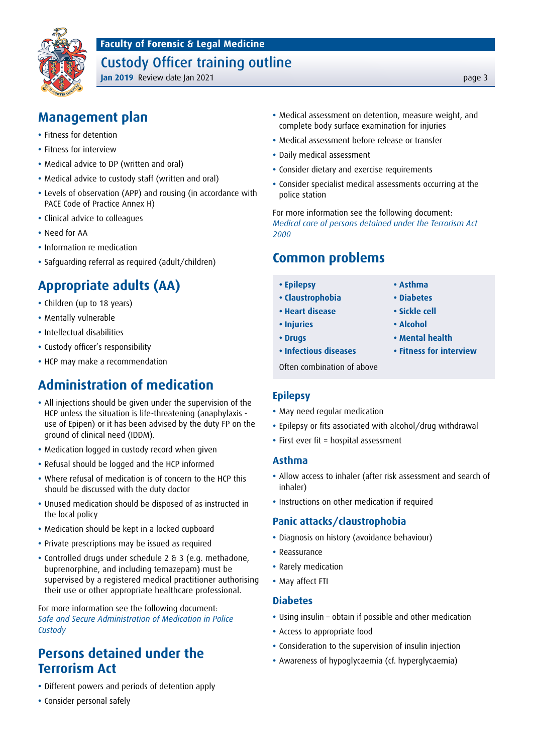

### Custody Officer training outline

**Jan 2019** Review date Jan 2021 **page 3** 

# **Management plan**

- **•** Fitness for detention
- **•** Fitness for interview
- **•** Medical advice to DP (written and oral)
- **•** Medical advice to custody staff (written and oral)
- **•** Levels of observation (APP) and rousing (in accordance with PACE Code of Practice Annex H)
- **•** Clinical advice to colleagues
- **•** Need for AA
- **•** Information re medication
- **•** Safguarding referral as required (adult/children)

# **Appropriate adults (AA)**

- **•** Children (up to 18 years)
- **•** Mentally vulnerable
- **•** Intellectual disabilities
- **•** Custody officer's responsibility
- **•** HCP may make a recommendation

# **Administration of medication**

- **•** All injections should be given under the supervision of the HCP unless the situation is life-threatening (anaphylaxis use of Epipen) or it has been advised by the duty FP on the ground of clinical need (IDDM).
- **•** Medication logged in custody record when given
- **•** Refusal should be logged and the HCP informed
- **•** Where refusal of medication is of concern to the HCP this should be discussed with the duty doctor
- **•** Unused medication should be disposed of as instructed in the local policy
- **•** Medication should be kept in a locked cupboard
- **•** Private prescriptions may be issued as required
- **•** Controlled drugs under schedule 2 & 3 (e.g. methadone, buprenorphine, and including temazepam) must be supervised by a registered medical practitioner authorising their use or other appropriate healthcare professional.

For more information see the following document: *[Safe and Secure Administration of Medication in Police](https://fflm.ac.uk/publications/recommendations-safe-and-secure-administration-of-medication-in-police-custody/)  [Custody](https://fflm.ac.uk/publications/recommendations-safe-and-secure-administration-of-medication-in-police-custody/)*

# **Persons detained under the Terrorism Act**

- **•** Different powers and periods of detention apply
- **•** Consider personal safely
- **•** Medical assessment on detention, measure weight, and complete body surface examination for injuries
- **•** Medical assessment before release or transfer
- **•** Daily medical assessment
- **•** Consider dietary and exercise requirements
- **•** Consider specialist medical assessments occurring at the police station

For more information see the following document: *[Medical care of persons detained under the Terrorism Act](https://fflm.ac.uk/publications/recommendations-medical-care-of-persons-detained-under-the-terrorism-act-2000/)  [2000](https://fflm.ac.uk/publications/recommendations-medical-care-of-persons-detained-under-the-terrorism-act-2000/)*

### **Common problems**

- **• Epilepsy • Asthma**
- **• Claustrophobia • Diabetes**
- **• Heart disease • Sickle cell**
- **• Injuries • Alcohol**
- **• Drugs • Mental health**
- **• Infectious diseases • Fitness for interview**

Often combination of above

#### **Epilepsy**

- **•** May need regular medication
- **•** Epilepsy or fits associated with alcohol/drug withdrawal
- **•** First ever fit = hospital assessment

#### **Asthma**

- **•** Allow access to inhaler (after risk assessment and search of inhaler)
- **•** Instructions on other medication if required

#### **Panic attacks/claustrophobia**

- **•** Diagnosis on history (avoidance behaviour)
- **•** Reassurance
- **•** Rarely medication
- **•** May affect FTI

#### **Diabetes**

- **•** Using insulin obtain if possible and other medication
- **•** Access to appropriate food
- **•** Consideration to the supervision of insulin injection
- **•** Awareness of hypoglycaemia (cf. hyperglycaemia)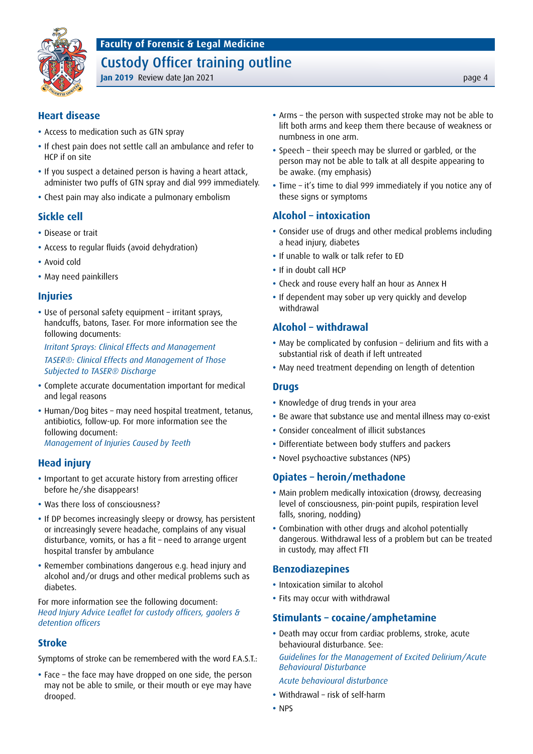### Custody Officer training outline



#### **Jan 2019** Review date Jan 2021 **page 4**

#### **Heart disease**

- **•** Access to medication such as GTN spray
- **•** If chest pain does not settle call an ambulance and refer to HCP if on site
- **•** If you suspect a detained person is having a heart attack, administer two puffs of GTN spray and dial 999 immediately.
- **•** Chest pain may also indicate a pulmonary embolism

#### **Sickle cell**

- **•** Disease or trait
- **•** Access to regular fluids (avoid dehydration)
- **•** Avoid cold
- **•** May need painkillers

#### **Injuries**

**•** Use of personal safety equipment – irritant sprays, handcuffs, batons, Taser. For more information see the following documents:

*[Irritant Sprays: Clinical Effects and Management](https://fflm.ac.uk/publications/recommendations-irritant-sprays-clinical-effects-and-management/) [TASER®: Clinical Effects and Management of Those](https://fflm.ac.uk/publications/recommendations-taser-clinical-effects-and-management-of-those-subjected-to-taser-discharge/)  [Subjected to TASER® Discharge](https://fflm.ac.uk/publications/recommendations-taser-clinical-effects-and-management-of-those-subjected-to-taser-discharge/)*

**•** Complete accurate documentation important for medical and legal reasons

**•** Human/Dog bites – may need hospital treatment, tetanus, antibiotics, follow-up. For more information see the following document: *[Management of Injuries Caused by Teeth](https://fflm.ac.uk/wp-content/uploads/2018/04/Management-of-Injuries-caused-by-Teeth-April-2018.pdf)*

#### **Head injury**

- **•** Important to get accurate history from arresting officer before he/she disappears!
- **•** Was there loss of consciousness?
- **•** If DP becomes increasingly sleepy or drowsy, has persistent or increasingly severe headache, complains of any visual disturbance, vomits, or has a fit – need to arrange urgent hospital transfer by ambulance
- **•** Remember combinations dangerous e.g. head injury and alcohol and/or drugs and other medical problems such as diabetes.

For more information see the following document: *[Head Injury Advice Leaflet for custody officers, gaolers &](https://fflm.ac.uk/wp-content/uploads/2016/05/A5-HeadInjuryWarning_Apr16.pdf)  [detention officers](https://fflm.ac.uk/wp-content/uploads/2016/05/A5-HeadInjuryWarning_Apr16.pdf)*

#### **Stroke**

Symptoms of stroke can be remembered with the word F.A.S.T.:

**•** Face – the face may have dropped on one side, the person may not be able to smile, or their mouth or eye may have drooped.

- **•** Arms the person with suspected stroke may not be able to lift both arms and keep them there because of weakness or numbness in one arm.
- **•** Speech their speech may be slurred or garbled, or the person may not be able to talk at all despite appearing to be awake. (my emphasis)
- **•** Time it's time to dial 999 immediately if you notice any of these signs or symptoms

#### **Alcohol – intoxication**

- **•** Consider use of drugs and other medical problems including a head injury, diabetes
- **•** If unable to walk or talk refer to ED
- **•** If in doubt call HCP
- **•** Check and rouse every half an hour as Annex H
- **•** If dependent may sober up very quickly and develop withdrawal

#### **Alcohol – withdrawal**

- **•** May be complicated by confusion delirium and fits with a substantial risk of death if left untreated
- **•** May need treatment depending on length of detention

#### **Drugs**

- **•** Knowledge of drug trends in your area
- **•** Be aware that substance use and mental illness may co-exist
- **•** Consider concealment of illicit substances
- **•** Differentiate between body stuffers and packers
- **•** Novel psychoactive substances (NPS)

#### **Opiates – heroin/methadone**

- **•** Main problem medically intoxication (drowsy, decreasing level of consciousness, pin-point pupils, respiration level falls, snoring, nodding)
- **•** Combination with other drugs and alcohol potentially dangerous. Withdrawal less of a problem but can be treated in custody, may affect FTI

#### **Benzodiazepines**

- **•** Intoxication similar to alcohol
- **•** Fits may occur with withdrawal

#### **Stimulants – cocaine/amphetamine**

- **•** Death may occur from cardiac problems, stroke, acute behavioural disturbance. See:
	- *[Guidelines for the Management of Excited Delirium/Acute](https://fflm.ac.uk/publications/guidelines-for-the-management-of-excited-deliriumacute-behavioural-disturbance/)  [Behavioural Disturbance](https://fflm.ac.uk/publications/guidelines-for-the-management-of-excited-deliriumacute-behavioural-disturbance/)*

#### *[Acute behavioural disturbance](https://fflm.ac.uk/wp-content/uploads/2016/02/AcuteBehaveDisturbance_Jan16-1.pdf)*

- **•** Withdrawal risk of self-harm
- **•** NPS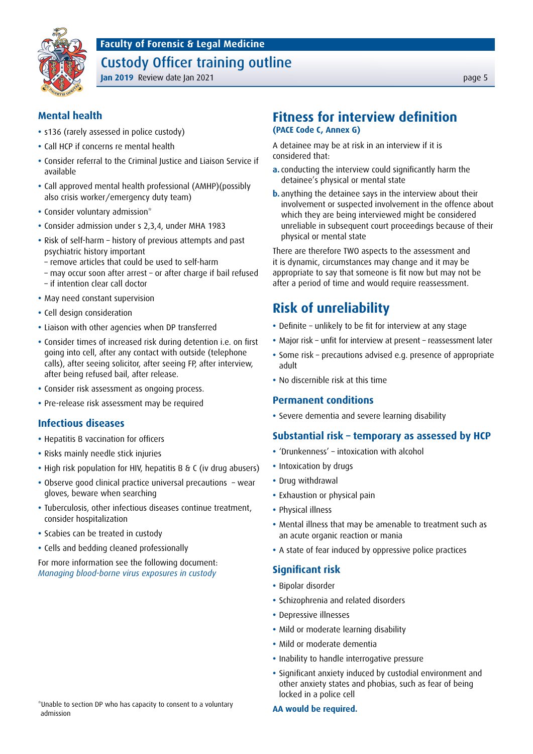### Custody Officer training outline



#### **Jan 2019** Review date Jan 2021 **page 5 Jan 2019 page 5**

#### **Mental health**

- **•** s136 (rarely assessed in police custody)
- **•** Call HCP if concerns re mental health
- **•** Consider referral to the Criminal Justice and Liaison Service if available
- **•** Call approved mental health professional (AMHP)(possibly also crisis worker/emergency duty team)
- **•** Consider voluntary admission\*
- **•** Consider admission under s 2,3,4, under MHA 1983
- **•** Risk of self-harm history of previous attempts and past psychiatric history important
	- remove articles that could be used to self-harm
	- may occur soon after arrest or after charge if bail refused
	- if intention clear call doctor
- **•** May need constant supervision
- **•** Cell design consideration
- **•** Liaison with other agencies when DP transferred
- **•** Consider times of increased risk during detention i.e. on first going into cell, after any contact with outside (telephone calls), after seeing solicitor, after seeing FP, after interview, after being refused bail, after release.
- **•** Consider risk assessment as ongoing process.
- **•** Pre-release risk assessment may be required

#### **Infectious diseases**

- **•** Hepatitis B vaccination for officers
- **•** Risks mainly needle stick injuries
- **•** High risk population for HIV, hepatitis B & C (iv drug abusers)
- **•** Observe good clinical practice universal precautions wear gloves, beware when searching
- **•** Tuberculosis, other infectious diseases continue treatment, consider hospitalization
- **•** Scabies can be treated in custody
- **•** Cells and bedding cleaned professionally

For more information see the following document: *[Managing blood-borne virus exposures in custody](https://fflm.ac.uk/wp-content/uploads/2018/12/Managing-Blood-borne-Virus-Exposure-in-Custody-Dr-B-Butler-and-Dr-F-Nicholson-Dec-2018.pdf)*

#### **Fitness for interview definition (PACE Code C, Annex G)**

A detainee may be at risk in an interview if it is considered that:

- **a.** conducting the interview could significantly harm the detainee's physical or mental state
- **b.** anything the detainee says in the interview about their involvement or suspected involvement in the offence about which they are being interviewed might be considered unreliable in subsequent court proceedings because of their physical or mental state

There are therefore TWO aspects to the assessment and it is dynamic, circumstances may change and it may be appropriate to say that someone is fit now but may not be after a period of time and would require reassessment.

# **Risk of unreliability**

- **•** Definite unlikely to be fit for interview at any stage
- **•** Major risk unfit for interview at present reassessment later
- **•** Some risk precautions advised e.g. presence of appropriate adult
- **•** No discernible risk at this time

#### **Permanent conditions**

**•** Severe dementia and severe learning disability

#### **Substantial risk – temporary as assessed by HCP**

- **•** 'Drunkenness' intoxication with alcohol
- **•** Intoxication by drugs
- **•** Drug withdrawal
- **•** Exhaustion or physical pain
- **•** Physical illness
- **•** Mental illness that may be amenable to treatment such as an acute organic reaction or mania
- **•** A state of fear induced by oppressive police practices

#### **Significant risk**

- **•** Bipolar disorder
- **•** Schizophrenia and related disorders
- **•** Depressive illnesses
- **•** Mild or moderate learning disability
- **•** Mild or moderate dementia
- **•** Inability to handle interrogative pressure
- **•** Significant anxiety induced by custodial environment and other anxiety states and phobias, such as fear of being locked in a police cell

#### **AA would be required.**

\*Unable to section DP who has capacity to consent to a voluntary admission